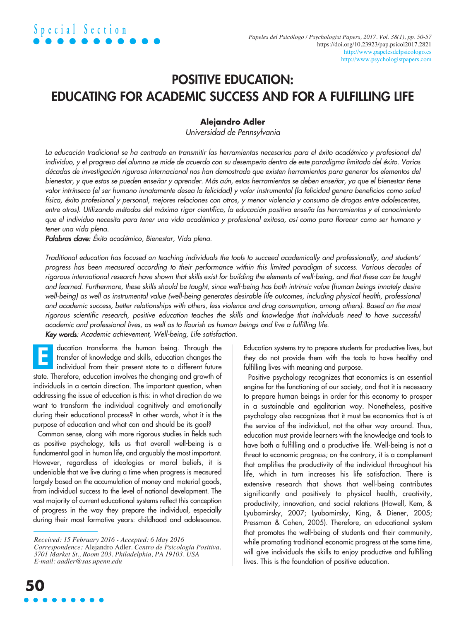### POSITIVE EDUCATION: EDUCATING FOR ACADEMIC SUCCESS AND FOR A FULFILLING LIFE

### **Alejandro Adler**

*Universidad de Pennsylvania*

La educación tradicional se ha centrado en transmitir las herramientas necesarias para el éxito académico y profesional del individuo, y el progreso del alumno se mide de acuerdo con su desempeño dentro de este paradigma limitado del éxito. Varias décadas de investigación rigurosa internacional nos han demostrado que existen herramientas para generar los elementos del bienestar, y que estas se pueden enseñar y aprender. Más aún, estas herramientas se deben enseñar, ya que el bienestar tiene valor intrínseco (el ser humano innatamente desea la felicidad) y valor instrumental (la felicidad aenera beneficios como salud física, éxito profesional y personal, mejores relaciones con otros, y menor violencia y consumo de drogas entre adolescentes, entre otros). Utilizando métodos del máximo rigor científico, la educación positiva enseña las herramientas y el conocimiento que el individuo necesita para tener una vida académica y profesional exitosa, así como para florecer como ser humano y *tener una vida plena.*

*Palabras clave: Éxito académico, Bienestar, Vida plena.*

Traditional education has focused on teaching individuals the tools to succeed academically and professionally, and students' progress has been measured according to their performance within this limited paradigm of success. Various decades of rigorous international research have shown that skills exist for building the elements of well-being, and that these can be taught and learned. Furthermore, these skills should be taught, since well-being has both intrinsic value (human beings innately desire well-being) as well as instrumental value (well-being generates desirable life outcomes, including physical health, professional and academic success, better relationships with others, less violence and drug consumption, among others). Based on the most rigorous scientific research, positive education teaches the skills and knowledge that individuals need to have successful *academic and professional lives, as well as to flourish as human beings and live a fulfilling life.*

*Key words: Academic achievement, Well-being, Life satisfaction.*

ducation transforms the human being. Through the transfer of knowledge and skills, education changes the individual from their present state to a different future state. Therefore, education involves the changing and growth of individuals in a certain direction. The important question, when addressing the issue of education is this: in what direction do we want to transform the individual cognitively and emotionally during their educational process? In other words, what it is the purpose of education and what can and should be its goal? E

Common sense, along with more rigorous studies in fields such as positive psychology, tells us that overall well-being is a fundamental goal in human life, and arguably the most important. However, regardless of ideologies or moral beliefs, it is undeniable that we live during a time when progress is measured largely based on the accumulation of money and material goods, from individual success to the level of national development. The vast majority of current educational systems reflect this conception of progress in the way they prepare the individual, especially during their most formative years: childhood and adolescence. Education systems try to prepare students for productive lives, but they do not provide them with the tools to have healthy and fulfilling lives with meaning and purpose.

Positive psychology recognizes that economics is an essential engine for the functioning of our society, and that it is necessary to prepare human beings in order for this economy to prosper in a sustainable and egalitarian way. Nonetheless, positive psychology also recognizes that it must be economics that is at the service of the individual, not the other way around. Thus, education must provide learners with the knowledge and tools to have both a fulfilling and a productive life. Well-being is not a threat to economic progress; on the contrary, it is a complement that amplifies the productivity of the individual throughout his life, which in turn increases his life satisfaction. There is extensive research that shows that well-being contributes significantly and positively to physical health, creativity, productivity, innovation, and social relations (Howell, Kem, & Lyubomirsky, 2007; Lyubomirsky, King, & Diener, 2005; Pressman & Cohen, 2005). Therefore, an educational system that promotes the well-being of students and their community, while promoting traditional economic progress at the same time, will give individuals the skills to enjoy productive and fulfilling lives. This is the foundation of positive education.

*Received: 15 February 2016 - Accepted: 6 May 2016 Correspondence:* Alejandro Adler. *Centro de Psicología Positiva. 3701 Market St., Room 203. Philadelphia, PA 19103. USA E-mail: aadler@sas.upenn.edu*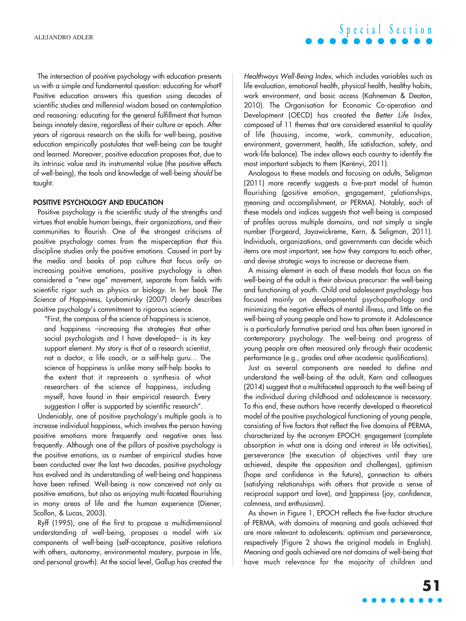The intersection of positive psychology with education presents us with a simple and fundamental question: educating for what? Positive education answers this question using decades of scientific studies and millennial wisdom based on contemplation and reasoning: educating for the general fulfillment that human beings innately desire, regardless of their culture or epoch. After years of rigorous research on the skills for well-being, positive education empirically postulates that well-being *can* be taught and learned. Moreover, positive education proposes that, due to its intrinsic value and its instrumental value (the positive effects of well-being), the tools and knowledge of well-being *should* be taught.

### POSITIVE PSYCHOLOGY AND EDUCATION

Positive psychology is the scientific study of the strengths and virtues that enable human beings, their organizations, and their communities to flourish. One of the strongest criticisms of positive psychology comes from the misperception that this discipline studies only the positive emotions. Caused in part by the media and books of pop culture that focus only on increasing positive emotions, positive psychology is often considered a "new age" movement, separate from fields with scientific rigor such as physics or biology. In her book *The Science of Happiness*, Lyubomirsky (2007) clearly describes positive psychology's commitment to rigorous science.

"First, the compass of the science of happiness is science, and happiness –increasing the strategies that other social psychologists and I have developed– is its key support element. My story is that of a research scientist, not a doctor, a life coach, or a self-help guru... The science of happiness is unlike many self-help books to the extent that it represents a synthesis of what researchers of the science of happiness, including myself, have found in their empirical research. Every suggestion I offer is supported by scientific research".

Undeniably, one of positive psychology's multiple goals is to increase individual happiness, which involves the person having positive emotions more frequently and negative ones less frequently. Although one of the pillars of positive psychology is the positive emotions, as a number of empirical studies have been conducted over the last two decades, positive psychology has evolved and its understanding of well-being and happiness have been refined. Well-being is now conceived not only as positive emotions, but also as enjoying multi-faceted flourishing in many areas of life and the human experience (Diener, Scollon, & Lucas, 2003).

Ryff (1995), one of the first to propose a multidimensional understanding of well-being, proposes a model with six components of well-being (self-acceptance, positive relations with others, autonomy, environmental mastery, purpose in life, and personal growth). At the social level, Gallup has created the

*Healthways Well-Being Index*, which includes variables such as life evaluation, emotional health, physical health, healthy habits, work environment, and basic access (Kahneman & Deaton, 2010). The Organisation for Economic Co-operation and Development (OECD) has created the *Better Life Index*, composed of 11 themes that are considered essential to quality of life (housing, income, work, community, education, environment, government, health, life satisfaction, safety, and work-life balance). The index allows each country to identify the most important subjects to them (Kerényi, 2011).

**S p e c i a l S e c t i o n**

Analogous to these models and focusing on adults, Seligman (2011) more recently suggests a five-part model of human flourishing (positive emotion, engagement, relationships, meaning and accomplishment, or PERMA). Notably, each of these models and indices suggests that well-being is composed of profiles across multiple domains, and not simply a single number (Forgeard, Jayawickreme, Kern, & Seligman, 2011). Individuals, organizations, and governments can decide which items are most important, see how they compare to each other, and devise strategic ways to increase or decrease them.

A missing element in each of these models that focus on the well-being of the adult is their obvious precursor: the well-being and functioning of youth. Child and adolescent psychology has focused mainly on developmental psychopathology and minimizing the negative effects of mental illness, and little on the well-being of young people and how to promote it. Adolescence is a particularly formative period and has often been ignored in contemporary psychology. The well-being and progress of young people are often measured only through their academic performance (e.g., grades and other academic qualifications).

Just as several components are needed to define and understand the well-being of the adult, Kern and colleagues (2014) suggest that a multifaceted approach to the well-being of the individual during childhood and adolescence is necessary. To this end, these authors have recently developed a theoretical model of the positive psychological functioning of young people, consisting of five factors that reflect the five domains of PERMA, characterized by the acronym EPOCH: engagement (complete absorption in what one is doing and interest in life activities), perseverance (the execution of objectives until they are achieved, despite the opposition and challenges), optimism (hope and confidence in the future), connection to others (satisfying relationships with others that provide a sense of reciprocal support and love), and happiness (joy, confidence, calmness, and enthusiasm).

As shown in Figure 1, EPOCH reflects the five-factor structure of PERMA, with domains of meaning and goals achieved that are more relevant to adolescents: optimism and perseverance, respectively (Figure 2 shows the original models in English). Meaning and goals achieved are not domains of well-being that have much relevance for the majority of children and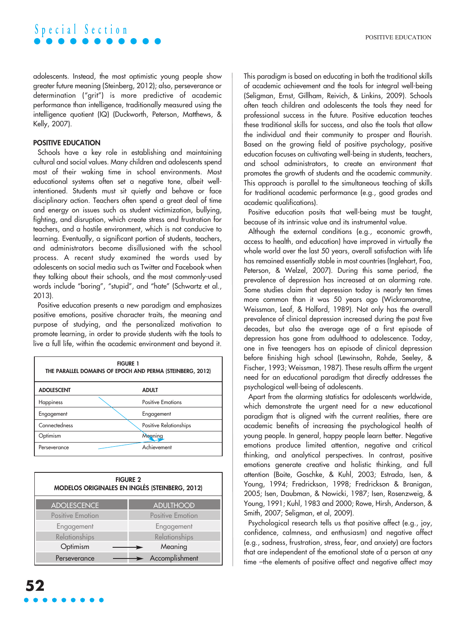adolescents. Instead, the most optimistic young people show greater future meaning (Steinberg, 2012); also, perseverance or determination ("grit") is more predictive of academic performance than intelligence, traditionally measured using the intelligence quotient (IQ) (Duckworth, Peterson, Matthews, & Kelly, 2007).

### POSITIVE EDUCATION

Schools have a key role in establishing and maintaining cultural and social values. Many children and adolescents spend most of their waking time in school environments. Most educational systems often set a negative tone, albeit wellintentioned. Students must sit quietly and behave or face disciplinary action. Teachers often spend a great deal of time and energy on issues such as student victimization, bullying, fighting, and disruption, which create stress and frustration for teachers, and a hostile environment, which is not conducive to learning. Eventually, a significant portion of students, teachers, and administrators become disillusioned with the school process. A recent study examined the words used by adolescents on social media such as Twitter and Facebook when they talking about their schools, and the most commonly-used words include "boring", "stupid", and "hate" (Schwartz et al., 2013).

Positive education presents a new paradigm and emphasizes positive emotions, positive character traits, the meaning and purpose of studying, and the personalized motivation to promote learning, in order to provide students with the tools to live a full life, within the academic environment and beyond it.

| <b>FIGURE 1</b><br>THE PARALLEL DOMAINS OF EPOCH AND PERMA (STEINBERG, 2012) |                          |  |
|------------------------------------------------------------------------------|--------------------------|--|
| <b>ADOLESCENT</b>                                                            | <b>ADULT</b>             |  |
| Happiness                                                                    | <b>Positive Emotions</b> |  |
| Engagement                                                                   | Engagement               |  |
| Connectedness                                                                | Positive Relationships   |  |
| Optimism                                                                     | Megning                  |  |
| Perseverance                                                                 | Achievement              |  |

| <b>FIGURE 2</b><br>MODELOS ORIGINALES EN INGLÉS (STEINBERG, 2012) |                  |  |
|-------------------------------------------------------------------|------------------|--|
| <b>ADOLESCENCE</b>                                                | <b>ADULTHOOD</b> |  |
| Positive Emotion                                                  | Positive Emotion |  |
| Engagement                                                        | Engagement       |  |
| Relationships                                                     | Relationships    |  |
| Optimism                                                          | Meaning          |  |
| Perseverance                                                      | Accomplishment   |  |

This paradigm is based on educating in both the traditional skills of academic achievement and the tools for integral well-being (Seligman, Ernst, Gillham, Reivich, & Linkins, 2009). Schools often teach children and adolescents the tools they need for professional success in the future. Positive education teaches these traditional skills for success, and also the tools that allow the individual and their community to prosper and flourish. Based on the growing field of positive psychology, positive education focuses on cultivating well-being in students, teachers, and school administrators, to create an environment that promotes the growth of students and the academic community. This approach is parallel to the simultaneous teaching of skills for traditional academic performance (e.g., good grades and academic qualifications).

Positive education posits that well-being must be taught, because of its intrinsic value and its instrumental value.

Although the external conditions (e.g., economic growth, access to health, and education) have improved in virtually the whole world over the last 50 years, overall satisfaction with life has remained essentially stable in most countries (Inglehart, Foa, Peterson, & Welzel, 2007). During this same period, the prevalence of depression has increased at an alarming rate. Some studies claim that depression today is nearly ten times more common than it was 50 years ago (Wickramaratne, Weissman, Leaf, & Holford, 1989). Not only has the overall prevalence of clinical depression increased during the past five decades, but also the average age of a first episode of depression has gone from adulthood to adolescence. Today, one in five teenagers has an episode of clinical depression before finishing high school (Lewinsohn, Rohde, Seeley, & Fischer, 1993; Weissman, 1987). These results affirm the urgent need for an educational paradigm that directly addresses the psychological well-being of adolescents.

Apart from the alarming statistics for adolescents worldwide, which demonstrate the urgent need for a new educational paradigm that is aligned with the current realities, there are academic benefits of increasing the psychological health of young people. In general, happy people learn better. Negative emotions produce limited attention, negative and critical thinking, and analytical perspectives. In contrast, positive emotions generate creative and holistic thinking, and full attention (Boite, Goschke, & Kuhl, 2003; Estrada, Isen, & Young, 1994; Fredrickson, 1998; Fredrickson & Branigan, 2005; Isen, Daubman, & Nowicki, 1987; Isen, Rosenzweig, & Young, 1991; Kuhl, 1983 and 2000; Rowe, Hirsh, Anderson, & Smith, 2007; Seligman, et al, 2009).

Psychological research tells us that positive affect (e.g., joy, confidence, calmness, and enthusiasm) and negative affect (e.g., sadness, frustration, stress, fear, and anxiety) are factors that are independent of the emotional state of a person at any time –the elements of positive affect and negative affect may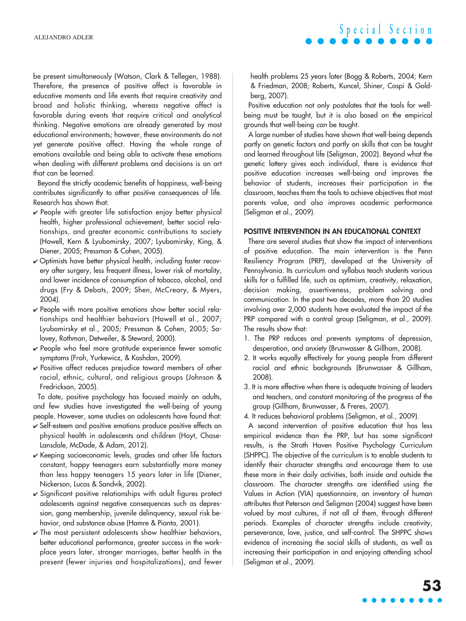be present simultaneously (Watson, Clark & Tellegen, 1988). Therefore, the presence of positive affect is favorable in educative moments and life events that require creativity and broad and holistic thinking, whereas negative affect is favorable during events that require critical and analytical thinking. Negative emotions are already generated by most educational environments; however, these environments do not yet generate positive affect. Having the whole range of emotions available and being able to activate these emotions when dealing with different problems and decisions is an art that can be learned.

Beyond the strictly academic benefits of happiness, well-being contributes significantly to other positive consequences of life. Research has shown that:

- $\vee$  People with greater life satisfaction enjoy better physical health, higher professional achievement, better social relationships, and greater economic contributions to society (Howell, Kern & Lyubomirsky, 2007; Lyubomirsky, King, & Diener, 2005; Pressman & Cohen, 2005).
- $\vee$  Optimists have better physical health, including faster recovery after surgery, less frequent illness, lower risk of mortality, and lower incidence of consumption of tobacco, alcohol, and drugs (Fry & Debats, 2009; Shen, McCreary, & Myers, 2004).
- $\checkmark$  People with more positive emotions show better social relationships and healthier behaviors (Howell et al., 2007; Lyubomirsky et al., 2005; Pressman & Cohen, 2005; Salovey, Rothman, Detweiler, & Steward, 2000).
- $\checkmark$  People who feel more gratitude experience fewer somatic symptoms (Froh, Yurkewicz, & Kashdan, 2009).
- $\vee$  Positive affect reduces prejudice toward members of other racial, ethnic, cultural, and religious groups (Johnson & Fredrickson, 2005).

To date, positive psychology has focused mainly on adults, and few studies have investigated the well-being of young people. However, some studies on adolescents have found that:

- $\vee$  Self-esteem and positive emotions produce positive effects on physical health in adolescents and children (Hoyt, Chase-Lansdale, McDade, & Adam, 2012).
- $\overline{V}$  Keeping socioeconomic levels, grades and other life factors constant, happy teenagers earn substantially more money than less happy teenagers 15 years later in life (Diener, Nickerson, Lucas & Sandvik, 2002).
- $\checkmark$  Significant positive relationships with adult figures protect adolescents against negative consequences such as depression, gang membership, juvenile delinquency, sexual risk behavior, and substance abuse (Hamre & Pianta, 2001).
- $\checkmark$  The most persistent adolescents show healthier behaviors, better educational performance, greater success in the workplace years later, stronger marriages, better health in the present (fewer injuries and hospitalizations), and fewer

health problems 25 years later (Bogg & Roberts, 2004; Kern & Friedman, 2008; Roberts, Kuncel, Shiner, Caspi & Goldberg, 2007).

**S p e c i a l S e c t i o n**

Positive education not only postulates that the tools for wellbeing must be taught, but it is also based on the empirical grounds that well-being *can* be taught.

A large number of studies have shown that well-being depends partly on genetic factors and partly on skills that can be taught and learned throughout life (Seligman, 2002). Beyond what the genetic lottery gives each individual, there is evidence that positive education increases well-being and improves the behavior of students, increases their participation in the classroom, teaches them the tools to achieve objectives that most parents value, and also improves academic performance (Seligman et al., 2009).

#### POSITIVE INTERVENTION IN AN EDUCATIONAL CONTEXT

There are several studies that show the impact of interventions of positive education. The main intervention is the Penn Resiliency Program (PRP), developed at the University of Pennsylvania. Its curriculum and syllabus teach students various skills for a fulfilled life, such as optimism, creativity, relaxation, decision making, assertiveness, problem solving and communication. In the past two decades, more than 20 studies involving over 2,000 students have evaluated the impact of the PRP compared with a control group (Seligman, et al., 2009). The results show that:

- 1. The PRP reduces and prevents symptoms of depression, desperation, and anxiety (Brunwasser & Gillham, 2008).
- 2. It works equally effectively for young people from different racial and ethnic backgrounds (Brunwasser & Gillham, 2008).
- 3. It is more effective when there is adequate training of leaders and teachers, and constant monitoring of the progress of the group (Gillham, Brunwasser, & Freres, 2007).

4. It reduces behavioral problems (Seligman, et al., 2009).

A second intervention of positive education that has less empirical evidence than the PRP, but has some significant results, is the Strath Haven Positive Psychology Curriculum (SHPPC). The objective of the curriculum is to enable students to identify their character strengths and encourage them to use these more in their daily activities, both inside and outside the classroom. The character strengths are identified using the Values in Action (VIA) questionnaire, an inventory of human attributes that Peterson and Seligman (2004) suggest have been valued by most cultures, if not all of them, through different periods. Examples of character strengths include creativity, perseverance, love, justice, and self-control. The SHPPC shows evidence of increasing the social skills of students, as well as increasing their participation in and enjoying attending school (Seligman et al., 2009).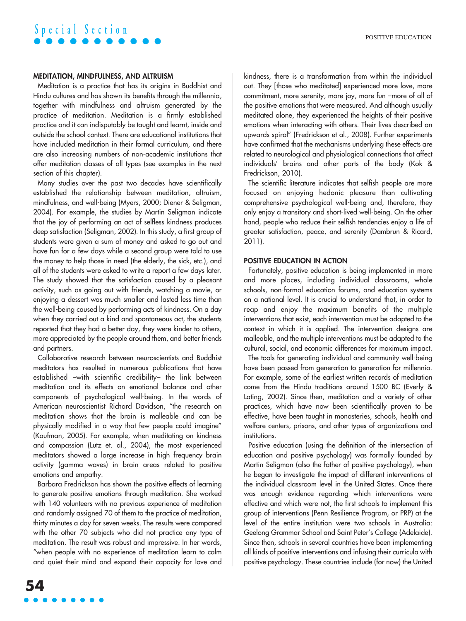### MEDITATION, MINDFULNESS, AND ALTRUISM

Meditation is a practice that has its origins in Buddhist and Hindu cultures and has shown its benefits through the millennia, together with mindfulness and altruism generated by the practice of meditation. Meditation is a firmly established practice and it can indisputably be taught and learnt, inside and outside the school context. There are educational institutions that have included meditation in their formal curriculum, and there are also increasing numbers of non-academic institutions that offer meditation classes of all types (see examples in the next section of this chapter).

Many studies over the past two decades have scientifically established the relationship between meditation, altruism, mindfulness, and well-being (Myers, 2000; Diener & Seligman, 2004). For example, the studies by Martin Seligman indicate that the joy of performing an act of selfless kindness produces deep satisfaction (Seligman, 2002). In this study, a first group of students were given a sum of money and asked to go out and have fun for a few days while a second group were told to use the money to help those in need (the elderly, the sick, etc.), and all of the students were asked to write a report a few days later. The study showed that the satisfaction caused by a pleasant activity, such as going out with friends, watching a movie, or enjoying a dessert was much smaller and lasted less time than the well-being caused by performing acts of kindness. On a day when they carried out a kind and spontaneous act, the students reported that they had a better day, they were kinder to others, more appreciated by the people around them, and better friends and partners.

Collaborative research between neuroscientists and Buddhist meditators has resulted in numerous publications that have established –with scientific credibility– the link between meditation and its effects on emotional balance and other components of psychological well-being. In the words of American neuroscientist Richard Davidson, "the research on meditation shows that the brain is malleable and can be physically modified in a way that few people could imagine" (Kaufman, 2005). For example, when meditating on kindness and compassion (Lutz et. al., 2004), the most experienced meditators showed a large increase in high frequency brain activity (gamma waves) in brain areas related to positive emotions and empathy.

Barbara Fredrickson has shown the positive effects of learning to generate positive emotions through meditation. She worked with 140 volunteers with no previous experience of meditation and randomly assigned 70 of them to the practice of meditation, thirty minutes a day for seven weeks. The results were compared with the other 70 subjects who did not practice any type of meditation. The result was robust and impressive. In her words, "when people with no experience of meditation learn to calm and quiet their mind and expand their capacity for love and kindness, there is a transformation from within the individual out. They [those who meditated] experienced more love, more commitment, more serenity, more joy, more fun –more of all of the positive emotions that were measured. And although usually meditated alone, they experienced the heights of their positive emotions when interacting with others. Their lives described an upwards spiral" (Fredrickson et al., 2008). Further experiments have confirmed that the mechanisms underlying these effects are related to neurological and physiological connections that affect individuals' brains and other parts of the body (Kok & Fredrickson, 2010).

The scientific literature indicates that selfish people are more focused on enjoying hedonic pleasure than cultivating comprehensive psychological well-being and, therefore, they only enjoy a transitory and short-lived well-being. On the other hand, people who reduce their selfish tendencies enjoy a life of greater satisfaction, peace, and serenity (Dambrun & Ricard, 2011).

### POSITIVE EDUCATION IN ACTION

Fortunately, positive education is being implemented in more and more places, including individual classrooms, whole schools, non-formal education forums, and education systems on a national level. It is crucial to understand that, in order to reap and enjoy the maximum benefits of the multiple interventions that exist, each intervention must be adapted to the context in which it is applied. The intervention designs are malleable, and the multiple interventions must be adapted to the cultural, social, and economic differences for maximum impact.

The tools for generating individual and community well-being have been passed from generation to generation for millennia. For example, some of the earliest written records of meditation come from the Hindu traditions around 1500 BC (Everly & Lating, 2002). Since then, meditation and a variety of other practices, which have now been scientifically proven to be effective, have been taught in monasteries, schools, health and welfare centers, prisons, and other types of organizations and institutions.

Positive education (using the definition of the intersection of education and positive psychology) was formally founded by Martin Seligman (also the father of positive psychology), when he began to investigate the impact of different interventions at the individual classroom level in the United States. Once there was enough evidence regarding which interventions were effective and which were not, the first schools to implement this group of interventions (Penn Resilience Program, or PRP) at the level of the entire institution were two schools in Australia: Geelong Grammar School and Saint Peter's College (Adelaide). Since then, schools in several countries have been implementing all kinds of positive interventions and infusing their curricula with positive psychology. These countries include (for now) the United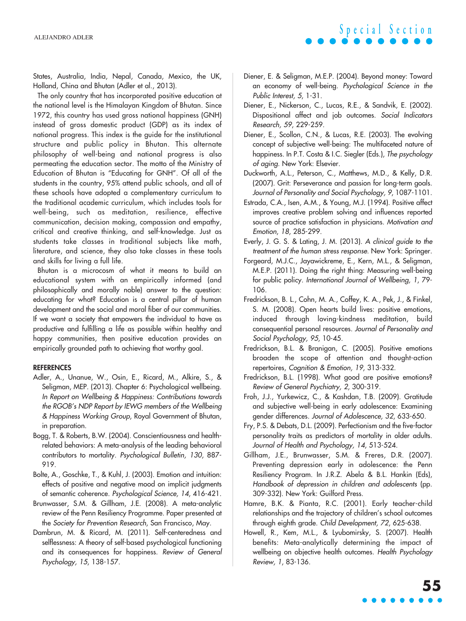States, Australia, India, Nepal, Canada, Mexico, the UK, Holland, China and Bhutan (Adler et al., 2013).

The only country that has incorporated positive education at the national level is the Himalayan Kingdom of Bhutan. Since 1972, this country has used gross national happiness (GNH) instead of gross domestic product (GDP) as its index of national progress. This index is the guide for the institutional structure and public policy in Bhutan. This alternate philosophy of well-being and national progress is also permeating the education sector. The motto of the Ministry of Education of Bhutan is "Educating for GNH". Of all of the students in the country, 95% attend public schools, and all of these schools have adopted a complementary curriculum to the traditional academic curriculum, which includes tools for well-being, such as meditation, resilience, effective communication, decision making, compassion and empathy, critical and creative thinking, and self-knowledge. Just as students take classes in traditional subjects like math, literature, and science, they also take classes in these tools and skills for living a full life.

Bhutan is a microcosm of what it means to build an educational system with an empirically informed (and philosophically and morally noble) answer to the question: educating for what? Education is a central pillar of human development and the social and moral fiber of our communities. If we want a society that empowers the individual to have as productive and fulfilling a life as possible within healthy and happy communities, then positive education provides an empirically grounded path to achieving that worthy goal.

#### **REFERENCES**

- Adler, A., Unanue, W., Osin, E., Ricard, M., Alkire, S., & Seligman, MEP. (2013). Chapter 6: Psychological wellbeing. *In Report on Wellbeing & Happiness: Contributions towards the RGOB's NDP Report by IEWG members of the Wellbeing & Happiness Working Group*, Royal Government of Bhutan, in preparation.
- Bogg, T. & Roberts, B.W. (2004). Conscientiousness and healthrelated behaviors: A meta-analysis of the leading behavioral contributors to mortality. *Psychological Bulletin, 130*, 887- 919.
- Bolte, A., Goschke, T., & Kuhl, J. (2003). Emotion and intuition: effects of positive and negative mood on implicit judgments of semantic coherence. *Psychological Science, 14*, 416-421.
- Brunwasser, S.M. & Gillham, J.E. (2008). A meta-analytic review of the Penn Resiliency Programme. Paper presented at the *Society for Prevention Research*, San Francisco, May.
- Dambrun, M. & Ricard, M. (2011). Self-centeredness and selflessness: A theory of self-based psychological functioning and its consequences for happiness. *Review of General Psychology, 15*, 138-157.
- Diener, E. & Seligman, M.E.P. (2004). Beyond money: Toward an economy of well-being. *Psychological Science in the Public Interest, 5*, 1-31.
- Diener, E., Nickerson, C., Lucas, R.E., & Sandvik, E. (2002). Dispositional affect and job outcomes. *Social Indicators Research, 59*, 229-259.
- Diener, E., Scollon, C.N., & Lucas, R.E. (2003). The evolving concept of subjective well-being: The multifaceted nature of happiness. In P.T. Costa & I.C. Siegler (Eds.), *The psychology of aging*. New York: Elsevier.
- Duckworth, A.L., Peterson, C., Matthews, M.D., & Kelly, D.R. (2007). Grit: Perseverance and passion for long-term goals. *Journal of Personality and Social Psychology, 9*, 1087-1101.
- Estrada, C.A., Isen, A.M., & Young, M.J. (1994). Positive affect improves creative problem solving and influences reported source of practice satisfaction in physicians. *Motivation and Emotion*, *18*, 285-299.
- Everly, J. G. S. & Lating, J. M. (2013). *A clinical guide to the treatment of the human stress response*. New York: Springer.
- Forgeard, M.J.C., Jayawickreme, E., Kern, M.L., & Seligman, M.E.P. (2011). Doing the right thing: Measuring well-being for public policy. *International Journal of Wellbeing, 1*, 79- 106.
- Fredrickson, B. L., Cohn, M. A., Coffey, K. A., Pek, J., & Finkel, S. M. (2008). Open hearts build lives: positive emotions, induced through loving-kindness meditation, build consequential personal resources. *Journal of Personality and Social Psychology, 95*, 10-45.
- Fredrickson, B.L. & Branigan, C. (2005). Positive emotions broaden the scope of attention and thought-action repertoires, *Cognition & Emotion, 19*, 313-332.
- Fredrickson, B.L. (1998). What good are positive emotions? *Review of General Psychiatry, 2*, 300-319.
- Froh, J.J., Yurkewicz, C., & Kashdan, T.B. (2009). Gratitude and subjective well-being in early adolescence: Examining gender differences. *Journal of Adolescence, 32*, 633-650.
- Fry, P.S. & Debats, D.L. (2009). Perfectionism and the five-factor personality traits as predictors of mortality in older adults. *Journal of Health and Psychology, 14*, 513-524.
- Gillham, J.E., Brunwasser, S.M. & Freres, D.R. (2007). Preventing depression early in adolescence: the Penn Resiliency Program. In J.R.Z. Abela & B.L. Hankin (Eds), *Handbook of depression in children and adolescents* (pp. 309-332). New York: Guilford Press.
- Hamre, B.K. & Pianta, R.C. (2001). Early teacher-child relationships and the trajectory of children's school outcomes through eighth grade. *Child Development, 72*, 625-638.
- Howell, R., Kem, M.L., & Lyubomirsky, S. (2007). Health benefits: Meta-analytically determining the impact of wellbeing on objective health outcomes. *Health Psychology Review, 1*, 83-136.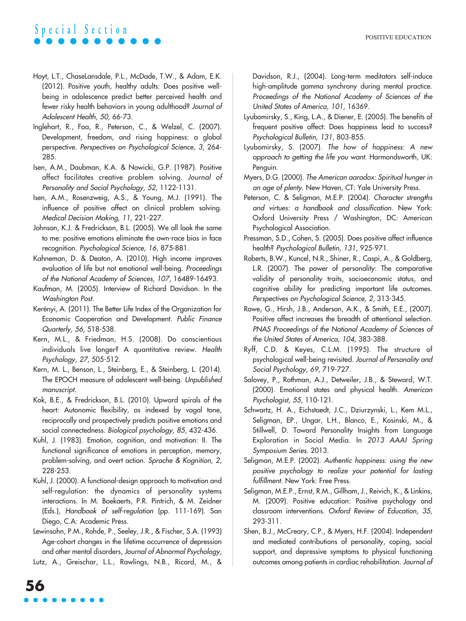- Hoyt, L.T., ChaseLansdale, P.L., McDade, T.W., & Adam, E.K. (2012). Positive youth, healthy adults: Does positive wellbeing in adolescence predict better perceived health and fewer risky health behaviors in young adulthood? *Journal of Adolescent Health, 50*, 66-73.
- Inglehart, R., Foa, R., Peterson, C., & Welzel, C. (2007). Development, freedom, and rising happiness: a global perspective. *Perspectives on Psychological Science, 3*, 264- 285.
- Isen, A.M., Daubman, K.A. & Nowicki, G.P. (1987). Positive affect facilitates creative problem solving. *Journal of Personality and Social Psychology, 52*, 1122-1131.
- Isen, A.M., Rosenzweig, A.S., & Young, M.J. (1991). The influence of positive affect on clinical problem solving. *Medical Decision Making, 11*, 221-227.
- Johnson, K.J. & Fredrickson, B.L. (2005). We all look the same to me: positive emotions eliminate the own-race bias in face recognition. *Psychological Science, 16*, 875-881.
- Kahneman, D. & Deaton, A. (2010). High income improves evaluation of life but not emotional well-being. *Proceedings of the National Academy of Sciences, 107*, 16489-16493.
- Kaufman, M. (2005). Interview of Richard Davidson. In the *Washington Post*.
- Kerényi, A. (2011). The Better Life Index of the Organization for Economic Cooperation and Development. *Public Finance Quarterly, 56*, 518-538.
- Kern, M.L., & Friedman, H.S. (2008). Do conscientious individuals live longer? A quantitative review. *Health Psychology, 27*, 505-512.
- Kern, M. L., Benson, L., Steinberg, E., & Steinberg, L. (2014). The EPOCH measure of adolescent well-being. *Unpublished manuscript.*
- Kok, B.E., & Fredrickson, B.L. (2010). Upward spirals of the heart: Autonomic flexibility, as indexed by vagal tone, reciprocally and prospectively predicts positive emotions and social connectedness. *Biological psychology, 85,* 432-436.
- Kuhl, J. (1983). Emotion, cognition, and motivation: II. The functional significance of emotions in perception, memory, problem-solving, and overt action*. Sprache & Kognition, 2*, 228-253.
- Kuhl, J. (2000). A functional-design approach to motivation and self-regulation: the dynamics of personality systems interactions. In M. Boekaerts, P.R. Pintrich, & M. Zeidner (Eds.), *Handbook of self-regulation* (pp. 111-169). San Diego, C.A: Academic Press.
- Lewinsohn, P.M., Rohde, P., Seeley, J.R., & Fischer, S.A. (1993) Age-cohort changes in the lifetime occurrence of depression and other mental disorders, *Journal of Abnormal Psychology*,
- Lutz, A., Greischar, L.L., Rawlings, N.B., Ricard, M., &

Davidson, R.J., (2004). Long-term meditators self-induce high-amplitude gamma synchrony during mental practice. *Proceedings of the National Academy of Sciences of the United States of America, 101*, 16369.

- Lyubomirsky, S., King, L.A., & Diener, E. (2005). The benefits of frequent positive affect: Does happiness lead to success? *Psychological Bulletin, 131*, 803-855.
- Lyubomirsky, S. (2007). *The how of happiness: A new approach to getting the life you want.* Harmondsworth, UK: Penguin.
- Myers, D.G. (2000). *The American aaradox: Spiritual hunger in an age of plenty*. New Haven, CT: Yale University Press.
- Peterson, C. & Seligman, M.E.P. (2004). *Character strengths and virtues: a handbook and classification.* New York: Oxford University Press / Washington, DC: American Psychological Association.
- Pressman, S.D., Cohen, S. (2005). Does positive affect influence health? *Psychological Bulletin, 131*, 925-971.
- Roberts, B.W., Kuncel, N.R., Shiner, R., Caspi, A., & Goldberg, L.R. (2007). The power of personality: The comparative validity of personality traits, socioeconomic status, and cognitive ability for predicting important life outcomes. *Perspectives on Psychological Science, 2,* 313-345.
- Rowe, G., Hirsh, J.B., Anderson, A.K., & Smith, E.E., (2007). Positive affect increases the breadth of attentional selection. *PNAS Proceedings of the National Academy of Sciences of the United States of America, 104*, 383-388.
- Ryff, C.D. & Keyes, C.L.M. (1995). The structure of psychological well-being revisited. *Journal of Personality and Social Psychology*, *69,* 719-727.
- Salovey, P., Rothman, A.J., Detweiler, J.B., & Steward, W.T. (2000). Emotional states and physical health. *American Psychologist, 55*, 110-121.
- Schwartz, H. A., Eichstaedt, J.C., Dziurzynski, L., Kem M.L., Seligman, EP., Ungar, L.H., Blanco, E., Kosinski, M., & Stillwell, D. Toward Personality Insights from Language Exploration in Social Media. In *2013 AAAI Spring Symposium Series*. 2013.
- Seligman, M.E.P. (2002). *Authentic happiness: using the new positive psychology to realize your potential for lasting fulfillment*. New York: Free Press.
- Seligman, M.E.P., Ernst, R.M., Gillham, J., Reivich, K., & Linkins, M. (2009). Positive education: Positive psychology and classroom interventions. *Oxford Review of Education, 35*, 293-311.
- Shen, B.J., McCreary, C.P., & Myers, H.F. (2004). Independent and mediated contributions of personality, coping, social support, and depressive symptoms to physical functioning outcomes among patients in cardiac rehabilitation. *Journal of*